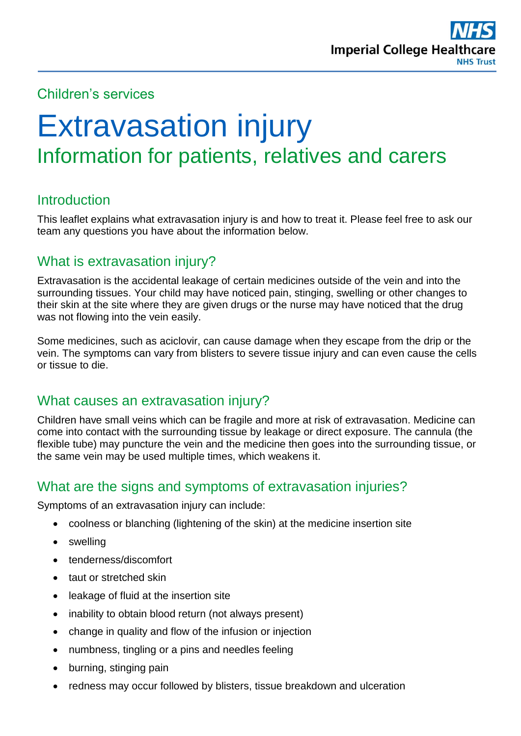

## Children's services

# Extravasation injury Information for patients, relatives and carers

# **Introduction**

This leaflet explains what extravasation injury is and how to treat it. Please feel free to ask our team any questions you have about the information below.

## What is extravasation injury?

Extravasation is the accidental leakage of certain medicines outside of the vein and into the surrounding tissues. Your child may have noticed pain, stinging, swelling or other changes to their skin at the site where they are given drugs or the nurse may have noticed that the drug was not flowing into the vein easily.

Some medicines, such as aciclovir, can cause damage when they escape from the drip or the vein. The symptoms can vary from blisters to severe tissue injury and can even cause the cells or tissue to die.

#### What causes an extravasation injury?

Children have small veins which can be fragile and more at risk of extravasation. Medicine can come into contact with the surrounding tissue by leakage or direct exposure. The cannula (the flexible tube) may puncture the vein and the medicine then goes into the surrounding tissue, or the same vein may be used multiple times, which weakens it.

## What are the signs and symptoms of extravasation injuries?

Symptoms of an extravasation injury can include:

- coolness or blanching (lightening of the skin) at the medicine insertion site
- swelling
- tenderness/discomfort
- taut or stretched skin
- leakage of fluid at the insertion site
- inability to obtain blood return (not always present)
- change in quality and flow of the infusion or injection
- numbness, tingling or a pins and needles feeling
- burning, stinging pain
- redness may occur followed by blisters, tissue breakdown and ulceration